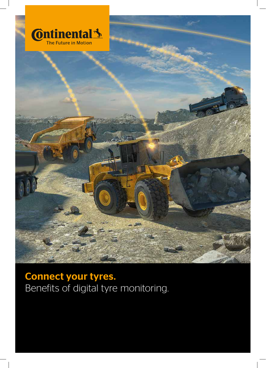

Connect your tyres. Benefits of digital tyre monitoring.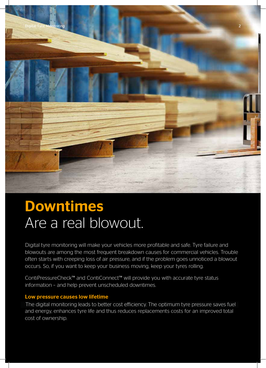

## Downtimes Are a real blowout.

blowouts are among the most frequent breakdown causes for commercial vehicles. Trouble often starts with creeping loss of air pressure, and if the problem goes unnoticed a blowout occurs. So, if you want to keep your business moving, keep your tyres rolling. Digital tyre monitoring will make your vehicles more profitable and safe. Tyre failure and

ContiPressureCheck™ and ContiConnect™ will provide you with accurate tyre status information – and help prevent unscheduled downtimes.

#### Low pressure causes low lifetime

and energy, enhances tyre life and thus reduces replacements costs for an improved total cost of ownership. The digital monitoring leads to better cost efficiency. The optimum tyre pressure saves fuel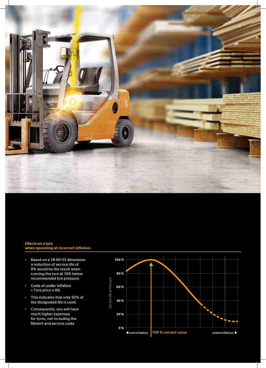

### Effects on a tyre<br>when operating at incorrect inflation.

- Based on a 18.00-33 dimension a reduction of service life of 8% would be the result when running the tyre at 10% below recommended tire pressure.
- Costs of under inflation = Tyre price x 8%
- › This indicates that only 92% of the designated life is used.
- › Consequently, you will have much higher expenses for tyres, not including the<br>fitment and service costs.

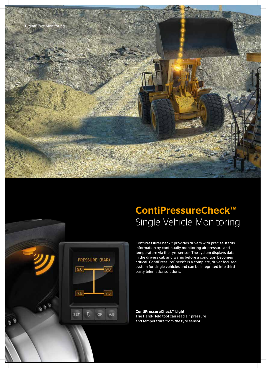

PRESSURE (BAR)

 $90$ 

 $7.5$ 

 $A/B$ 

 $9.0$ 

 $7.5$ 

**SET** 

几

OK

## ContiPressureCheck™ Single Vehicle Monitoring

ContiPressureCheck™ provides drivers with precise status information by continually monitoring air pressure and temperature via the tyre sensor. The system displays data in the drivers cab and warns before a condition becomes critical. ContiPressureCheck™ is a complete, driver focused system for single vehicles and can be integrated into third party telematics solutions.

ContiPressureCheck™ Light The Hand-Held tool can read air pressure and temperature from the tyre sensor.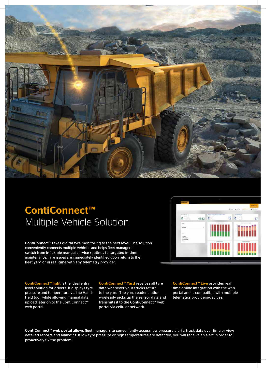

## ContiConnect™ Multiple Vehicle Solution

ContiConnect™ takes digital tyre monitoring to the next level. The solution conveniently connects multiple vehicles and helps fleet managers switch from inflexible manual service routines to targeted in-time maintenance. Tyre issues are immediately identified upon return to thefleet yard or in real-time with any telemetry provider.

ContiConnect™ light is the ideal entry level solution for drivers. It displays tyre pressure and temperature via the Hand-Held tool, while allowing manual data upload later on to the ContiConnect™ web portal.

ContiConnect™ Yard receives all tyre data whenever your trucks return to the yard. The yard reader station wirelessly picks up the sensor data and transmits it to the ContiConnect™ web portal via cellular network.

ContiConnect™ Live provides real time online integration with the web portal and is compatible with multiple telematics providers/devices.

ContiConnect™ web portal allows fleet managers to conveniently access low pressure alerts, track data over time or view detailed reports and analytics. If low tyre pressure or high temperatures are detected, you will receive an alert in order to proactively fix the problem.

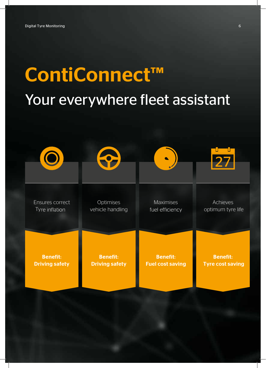# ContiConnect™ ContiConnect™ Your everywhere fleet assistant

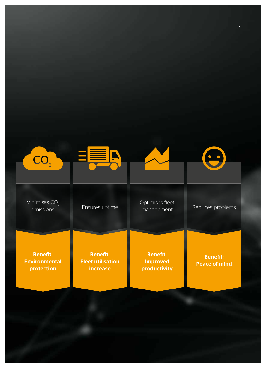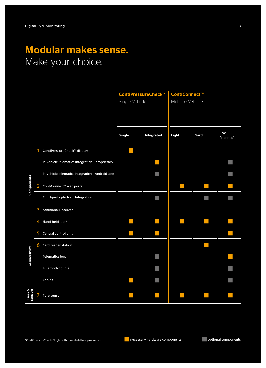## Modular makes sense. Make your choice.

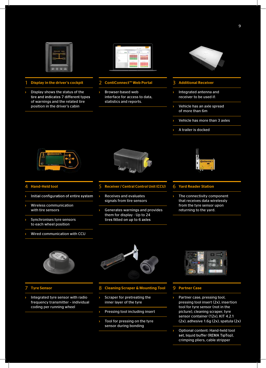

- Display in the driver's cockpit
- Display shows the status of the tire and indicates 7 different types of warnings and the related tire position in the driver's cabin



- 2 ContiConnect™ Web Portal
- › Browser-based web interface for access to data, statistics and reports.



- 3 Additional Receiver
- Integrated antenna and receiver to be used if:
- Vehicle has an axle spread of more than 6m
- › Vehicle has more than 3 axles
- A trailer is docked



#### **Hand-Held tool**

- Initial configuration of entire system ›
- Wireless communication with tire sensors
- Synchronises tyre sensors to each wheel position
- Wired communication with CCU



- 5 Receiver / Central Control Unit (CCU)
- › Receives and evaluates signals from tire sensors
- Generates warnings and provides them for display - Up to 24 tires fitted on up to 6 axles



#### 6 Yard Reader Station

The connectivity component that receives data wirelessly from the tyre sensor upon returning to the yard.



#### 7 Tyre Sensor

Integrated tyre sensor with radio frequency transmitter – individual coding per running wheel



#### 8 Cleaning Scraper & Mounting Tool

- Scraper for pretreating the inner layer of the tyre
- Pressing tool including insert
- Tool for pressing on the tyre sensor during bonding



#### 9 Partner Case

- Partner case, pressing tool, pressing tool insert (2x), insertion tool for tyre sensor (not in the picture), cleaning scraper, tyre sensor container (12x), KIT 4.2.1 (2x), adhesive 1.6g (2x), spatula (2x)
- Optional content: Hand-held tool set, liquid buffer (REMA TipTop), crimping pliers, cable stripper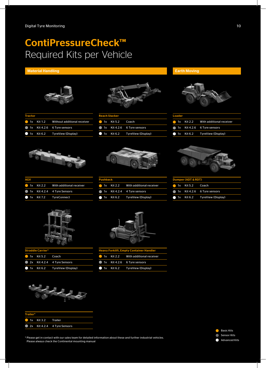## ContiPressureCheck™ Required Kits per Vehicle

#### Material Handling Earth Moving



| Tractor |  |                                        |  |
|---------|--|----------------------------------------|--|
|         |  | 1x Kit 1.2 Without additional receiver |  |
|         |  | 1x Kit 4.2.6 6 Tyre sensors            |  |
|         |  | 1x Kit 6.2 TyreView (Display)          |  |



| <b>Reach Stacker</b> |                  |                                       |
|----------------------|------------------|---------------------------------------|
|                      | 1x Kit 5.2 Coach |                                       |
|                      |                  | $\bullet$ 1x Kit 4.2.6 6 Tyre sensors |
|                      |                  | 1x Kit 6.2 TyreView (Display)         |





| <b>Loader</b> |  |                                         |
|---------------|--|-----------------------------------------|
|               |  | 1x Kit 2.2 With additional receiver     |
|               |  | 1x Kit 4.2.6 6 Tyre sensors             |
|               |  | $\bullet$ 1x Kit 6.2 TyreView (Display) |





| <b>Pushback</b> |  |                                     |  |
|-----------------|--|-------------------------------------|--|
|                 |  | 1x Kit 2.2 With additional receiver |  |
|                 |  | 1x Kit 4.2.4 4 Tyre sensors         |  |
|                 |  | 1x Kit 6.2 TyreView (Display)       |  |



Dumper (ADT & RDT) 1x Kit 5.2 Coach 1x Kit 4.2.6 6 Tyre sensors 1x Kit 6.2 TyreView (Display)

 $\bullet$  $\bullet$ 

| AGV |  |                                               |  |
|-----|--|-----------------------------------------------|--|
|     |  | $\bullet$ 1x Kit 2.2 With additional receiver |  |
|     |  | 1x Kit 4.2.4 4 Tyre Sensors                   |  |
|     |  | 1x Kit 7.2 TyreConnect                        |  |



| <b>Straddle Carrier*</b> |                  |                               |  |
|--------------------------|------------------|-------------------------------|--|
|                          | 1x Kit 5.2 Coach |                               |  |
|                          |                  | 2x Kit 4.2.4 4 Tyre Sensors   |  |
|                          |                  | 1x Kit 6.2 TyreView (Display) |  |



| Trailer* |                    |                             |  |
|----------|--------------------|-----------------------------|--|
|          | 1x Kit 3.2 Trailer |                             |  |
|          |                    | 2x Kit 4.2.4 4 Tyre Sensors |  |



|  | $\blacksquare$ 1x Kit 2.2 With additional receiver |
|--|----------------------------------------------------|
|  | 1x Kit 4.2.6 6 Tyre sensors                        |
|  | 1x Kit 6.2 TyreView (Display)                      |



\* Please get in contact with our sales team for detailed information about these and further industrial vehicles. Please always check the Continental mounting manual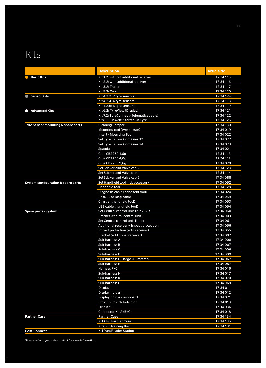## Kits

|                                    | <b>Description</b>                      | <b>Article No.</b>     |
|------------------------------------|-----------------------------------------|------------------------|
| <b>Basic Kits</b>                  | Kit 1.2: without additional receiver    | 17 34 115              |
|                                    | Kit 2.2: with additional receiver       | 17 34 116              |
|                                    | Kit 3.2: Trailer                        | 17 34 117              |
|                                    | Kit 5.2: Coach                          | 17 34 120              |
| <b>Sensor Kits</b><br>$\bullet$    | Kit 4.2.2: 2 tyre sensors               | 17 34 124              |
|                                    | Kit 4.2.4: 4 tyre sensors               | 17 34 118              |
|                                    | Kit 4.2.6: 6 tyre sensors               | 17 34 119              |
| <b>Advanced Kits</b><br>$\bullet$  | Kit 6.2: TyreView (Display)             | 17 34 121              |
|                                    | Kit 7.2: TyreConnect (Telematics cable) | 17 34 122              |
|                                    | Kit 8.2: TisWeb® Starter Kit Tyre       | 17 34 125              |
| Tyre Sensor mounting & spare parts | <b>Cleaning Scraper</b>                 | 17 34 130              |
|                                    | Mounting tool (tyre sensor)             | 17 34 019              |
|                                    | <b>Insert - Mounting Tool</b>           | 17 34 022              |
|                                    | Set Tyre Sensor Container 12            | 17 34 072              |
|                                    | Set Tyre Sensor Container 24            | 17 34 073              |
|                                    | Spatula                                 | 17 34 021              |
|                                    | Glue CB2250 1,6g                        | 17 34 113              |
|                                    | Glue CB2250 4,8g                        | 17 34 112              |
|                                    | Glue CB2250 9,6g                        | 17 34 020              |
|                                    | Set Sticker and Valve cap 2             | 17 34 123              |
|                                    | Set Sticker and Valve cap 4             | 17 34 114              |
|                                    | Set Sticker and Valve cap 6             | 17 34 088              |
| System configuration & spare parts | Set Handheld tool incl. accessory       | 17 34 052              |
|                                    | Handheld tool                           | 17 34 128              |
|                                    | Diagnosis cable (handheld tool)         | 17 34 024              |
|                                    | Repl. Fuse Diag cable                   | 17 34 059              |
|                                    | Charger (handheld tool)                 | 17 34 053              |
|                                    | USB cable (handheld tool)               | 17 34 054              |
| <b>Spare parts - System</b>        | Set Central control unit Truck/Bus      | 17 34 060              |
|                                    | Bracket (central control unit)          | 17 34 003              |
|                                    | Set Central control unit Trailer        | 17 34 061              |
|                                    | Additional receiver + Impact protection | 17 34 056              |
|                                    | Impact protection (add. receiver)       | 17 34 055              |
|                                    | <b>Bracket (additional receiver)</b>    | 17 34 002              |
|                                    | Sub-harness A                           | 17 34 008              |
|                                    | Sub-harness B                           | 17 34 007              |
|                                    | Sub-harness C                           | 17 34 006              |
|                                    | Sub-harness D                           | 17 34 009              |
|                                    | Sub-harness D - large (13 metres)       | 17 34 067              |
|                                    | Sub-harness E                           | 17 34 087              |
|                                    | Harness F+G                             | 17 34 016              |
|                                    | Sub-harness H                           | 17 34 017              |
|                                    | Sub-harness K                           | 17 34 070              |
|                                    | Sub-harness L                           | 17 34 069              |
|                                    | <b>Display</b>                          | 17 34 011              |
|                                    | Display holder                          | 17 34 012              |
|                                    | Display holder dashboard                | 17 34 071              |
|                                    | <b>Pressure Check Indicator</b>         | 17 34 013              |
|                                    | <b>Fuse Kit F</b>                       | 17 34 036              |
|                                    | Connector Kit A+B+C                     | 17 34 018              |
|                                    |                                         | 17 34 134              |
| <b>Partner Case</b>                | <b>Partner Case</b>                     |                        |
|                                    | <b>KIT CPC Partner Case</b>             | 17 34 135<br>17 34 131 |
|                                    | <b>Kit CPC Training Box</b>             | $\star$                |
| <b>ContiConnect</b>                | <b>KIT YardReader Station</b>           |                        |

\*Please refer to your sales contact for more information.